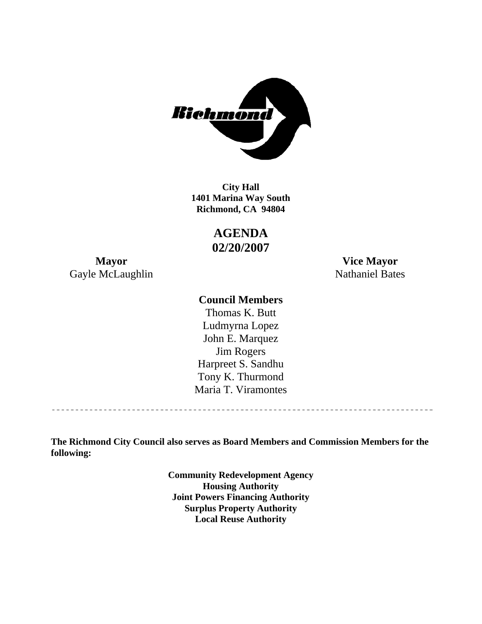

**1401 Marina Way South Richmond, CA 94804 City Hall** 

> **AGENDA 02/20/2007**

Gayle McLaughlin Nathaniel Bates

**Mayor Vice Mayor** 

# **Council Members**

Harpreet S. Sandhu Tony K. Thurmond Maria T. Viramontes Thomas K. Butt Ludmyrna Lopez John E. Marquez Jim Rogers

**The Richmond City Council also serves as Board Members and Commission Members for the following:** 

> **Community Redevelopment Agency Housing Authority Joint Powers Financing Authority Surplus Property Authority Local Reuse Authority**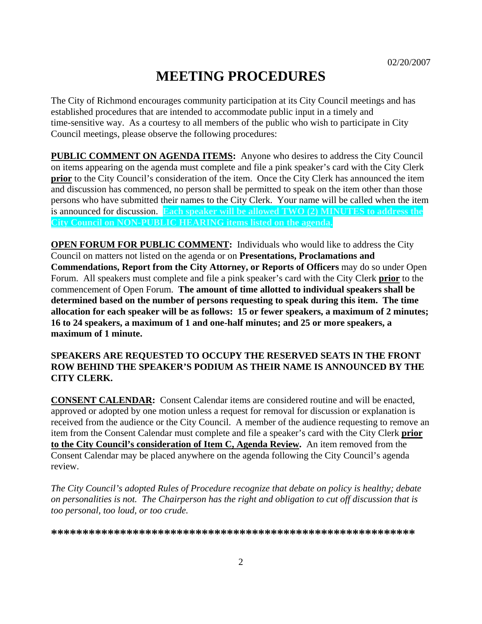# **MEETING PROCEDURES**

The City of Richmond encourages community participation at its City Council meetings and has established procedures that are intended to accommodate public input in a timely and time-sensitive way. As a courtesy to all members of the public who wish to participate in City Council meetings, please observe the following procedures:

**PUBLIC COMMENT ON AGENDA ITEMS:** Anyone who desires to address the City Council on items appearing on the agenda must complete and file a pink speaker's card with the City Clerk **prior** to the City Council's consideration of the item. Once the City Clerk has announced the item and discussion has commenced, no person shall be permitted to speak on the item other than those persons who have submitted their names to the City Clerk. Your name will be called when the item is announced for discussion. **Each speaker will be allowed TWO (2) MINUTES to address the City Council on NON-PUBLIC HEARING items listed on the agenda.** 

**OPEN FORUM FOR PUBLIC COMMENT:** Individuals who would like to address the City Council on matters not listed on the agenda or on **Presentations, Proclamations and Commendations, Report from the City Attorney, or Reports of Officers** may do so under Open Forum. All speakers must complete and file a pink speaker's card with the City Clerk **prior** to the commencement of Open Forum. **The amount of time allotted to individual speakers shall be determined based on the number of persons requesting to speak during this item. The time allocation for each speaker will be as follows: 15 or fewer speakers, a maximum of 2 minutes; 16 to 24 speakers, a maximum of 1 and one-half minutes; and 25 or more speakers, a maximum of 1 minute.** 

#### **SPEAKERS ARE REQUESTED TO OCCUPY THE RESERVED SEATS IN THE FRONT ROW BEHIND THE SPEAKER'S PODIUM AS THEIR NAME IS ANNOUNCED BY THE CITY CLERK.**

**CONSENT CALENDAR:** Consent Calendar items are considered routine and will be enacted, approved or adopted by one motion unless a request for removal for discussion or explanation is received from the audience or the City Council. A member of the audience requesting to remove an item from the Consent Calendar must complete and file a speaker's card with the City Clerk **prior to the City Council's consideration of Item C, Agenda Review.** An item removed from the Consent Calendar may be placed anywhere on the agenda following the City Council's agenda review.

*The City Council's adopted Rules of Procedure recognize that debate on policy is healthy; debate on personalities is not. The Chairperson has the right and obligation to cut off discussion that is too personal, too loud, or too crude.* 

**\*\*\*\*\*\*\*\*\*\*\*\*\*\*\*\*\*\*\*\*\*\*\*\*\*\*\*\*\*\*\*\*\*\*\*\*\*\*\*\*\*\*\*\*\*\*\*\*\*\*\*\*\*\*\*\*\*\***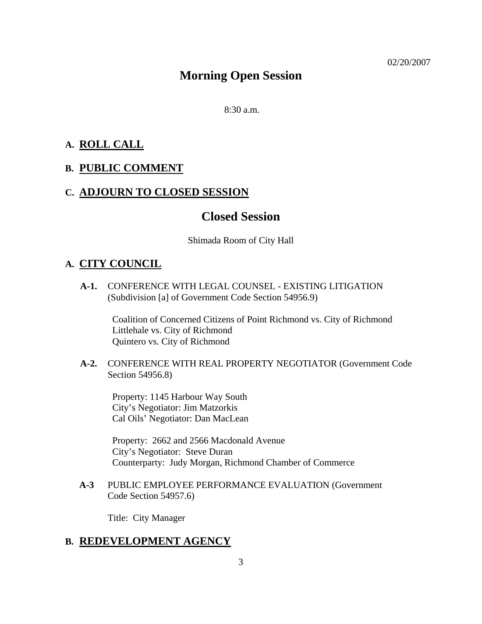# **Morning Open Session**

 $8:30$  a.m.

### **A. ROLL CALL**

### **B. PUBLIC COMMENT**

### **C. ADJOURN TO CLOSED SESSION**

### **Closed Session**

Shimada Room of City Hall

### **A. CITY COUNCIL**

**A-1.** CONFERENCE WITH LEGAL COUNSEL - EXISTING LITIGATION (Subdivision [a] of Government Code Section 54956.9)

> Coalition of Concerned Citizens of Point Richmond vs. City of Richmond Littlehale vs. City of Richmond Quintero vs. City of Richmond

**A-2.** CONFERENCE WITH REAL PROPERTY NEGOTIATOR (Government Code Section 54956.8)

Property: 1145 Harbour Way South City's Negotiator: Jim Matzorkis Cal Oils' Negotiator: Dan MacLean

Property: 2662 and 2566 Macdonald Avenue City's Negotiator: Steve Duran Counterparty: Judy Morgan, Richmond Chamber of Commerce

**A-3** PUBLIC EMPLOYEE PERFORMANCE EVALUATION (Government Code Section 54957.6)

Title: City Manager

#### **B. REDEVELOPMENT AGENCY**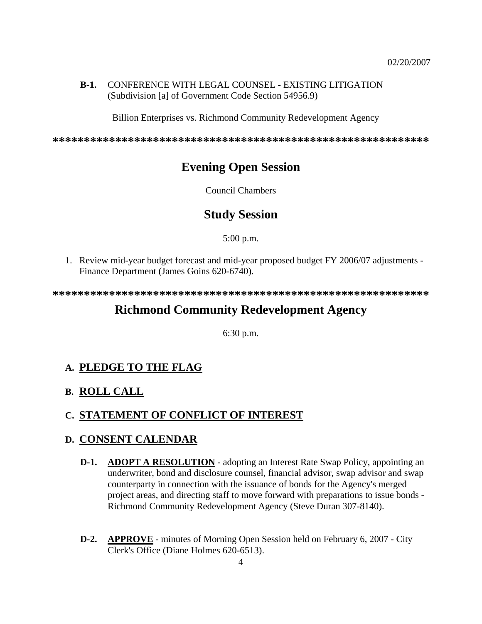#### **B-1.** CONFERENCE WITH LEGAL COUNSEL - EXISTING LITIGATION (Subdivision [a] of Government Code Section 54956.9)

Billion Enterprises vs. Richmond Community Redevelopment Agency

**\*\*\*\*\*\*\*\*\*\*\*\*\*\*\*\*\*\*\*\*\*\*\*\*\*\*\*\*\*\*\*\*\*\*\*\*\*\*\*\*\*\*\*\*\*\*\*\*\*\*\*\*\*\*\*\*\*\*\*\*** 

# **Evening Open Session**

Council Chambers

# **Study Session**

5:00 p.m.

1. Review mid-year budget forecast and mid-year proposed budget FY 2006/07 adjustments - Finance Department (James Goins 620-6740).

**\*\*\*\*\*\*\*\*\*\*\*\*\*\*\*\*\*\*\*\*\*\*\*\*\*\*\*\*\*\*\*\*\*\*\*\*\*\*\*\*\*\*\*\*\*\*\*\*\*\*\*\*\*\*\*\*\*\*\*\*** 

# **Richmond Community Redevelopment Agency**

6:30 p.m.

# **A. PLEDGE TO THE FLAG**

# **B. ROLL CALL**

# **C. STATEMENT OF CONFLICT OF INTEREST**

#### **D. CONSENT CALENDAR**

- **D-1. ADOPT A RESOLUTION** adopting an Interest Rate Swap Policy, appointing an underwriter, bond and disclosure counsel, financial advisor, swap advisor and swap counterparty in connection with the issuance of bonds for the Agency's merged project areas, and directing staff to move forward with preparations to issue bonds - Richmond Community Redevelopment Agency (Steve Duran 307-8140).
- **D-2. APPROVE** minutes of Morning Open Session held on February 6, 2007 City Clerk's Office (Diane Holmes 620-6513).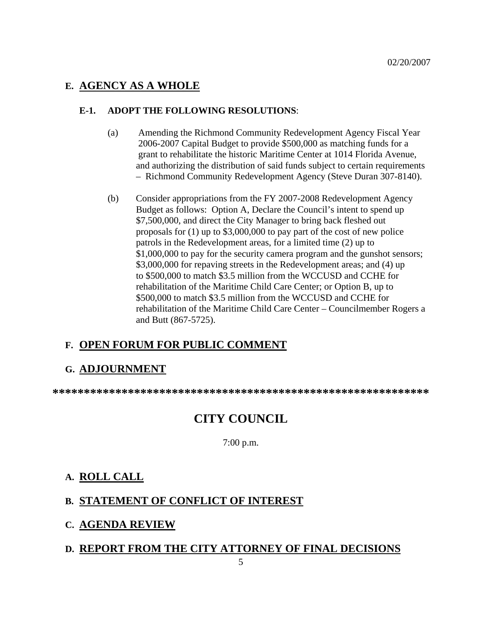# **E. AGENCY AS A WHOLE**

#### **E-1. ADOPT THE FOLLOWING RESOLUTIONS**:

- (a) Amending the Richmond Community Redevelopment Agency Fiscal Year 2006-2007 Capital Budget to provide \$500,000 as matching funds for a grant to rehabilitate the historic Maritime Center at 1014 Florida Avenue, and authorizing the distribution of said funds subject to certain requirements – Richmond Community Redevelopment Agency (Steve Duran 307-8140).
- (b) Consider appropriations from the FY 2007-2008 Redevelopment Agency Budget as follows: Option A, Declare the Council's intent to spend up \$7,500,000, and direct the City Manager to bring back fleshed out proposals for (1) up to \$3,000,000 to pay part of the cost of new police patrols in the Redevelopment areas, for a limited time (2) up to \$1,000,000 to pay for the security camera program and the gunshot sensors; \$3,000,000 for repaving streets in the Redevelopment areas; and (4) up to \$500,000 to match \$3.5 million from the WCCUSD and CCHE for rehabilitation of the Maritime Child Care Center; or Option B, up to \$500,000 to match \$3.5 million from the WCCUSD and CCHE for rehabilitation of the Maritime Child Care Center – Councilmember Rogers a and Butt (867-5725).

# **F. OPEN FORUM FOR PUBLIC COMMENT**

#### **G. ADJOURNMENT**

**\*\*\*\*\*\*\*\*\*\*\*\*\*\*\*\*\*\*\*\*\*\*\*\*\*\*\*\*\*\*\*\*\*\*\*\*\*\*\*\*\*\*\*\*\*\*\*\*\*\*\*\*\*\*\*\*\*\*\*\*** 

# **CITY COUNCIL**

7:00 p.m.

#### **A. ROLL CALL**

# **B. STATEMENT OF CONFLICT OF INTEREST**

#### **C. AGENDA REVIEW**

#### **D. REPORT FROM THE CITY ATTORNEY OF FINAL DECISIONS**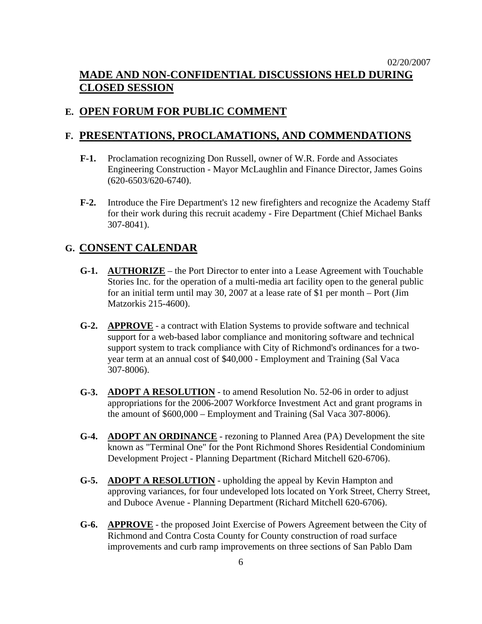# 02/20/2007 **MADE AND NON-CONFIDENTIAL DISCUSSIONS HELD DURING CLOSED SESSION**

# **E. OPEN FORUM FOR PUBLIC COMMENT**

# **F. PRESENTATIONS, PROCLAMATIONS, AND COMMENDATIONS**

- **F-1.** Proclamation recognizing Don Russell, owner of W.R. Forde and Associates Engineering Construction - Mayor McLaughlin and Finance Director, James Goins (620-6503/620-6740).
- **F-2.** Introduce the Fire Department's 12 new firefighters and recognize the Academy Staff for their work during this recruit academy - Fire Department (Chief Michael Banks 307-8041).

# **G. CONSENT CALENDAR**

- **G-1. AUTHORIZE** the Port Director to enter into a Lease Agreement with Touchable Stories Inc. for the operation of a multi-media art facility open to the general public for an initial term until may 30, 2007 at a lease rate of \$1 per month – Port (Jim Matzorkis 215-4600).
- **G-2. APPROVE** a contract with Elation Systems to provide software and technical support for a web-based labor compliance and monitoring software and technical support system to track compliance with City of Richmond's ordinances for a twoyear term at an annual cost of \$40,000 - Employment and Training (Sal Vaca 307-8006).
- **G-3. ADOPT A RESOLUTION** to amend Resolution No. 52-06 in order to adjust appropriations for the 2006-2007 Workforce Investment Act and grant programs in the amount of \$600,000 – Employment and Training (Sal Vaca 307-8006).
- **G-4. ADOPT AN ORDINANCE** rezoning to Planned Area (PA) Development the site known as "Terminal One" for the Pont Richmond Shores Residential Condominium Development Project - Planning Department (Richard Mitchell 620-6706).
- **G-5. ADOPT A RESOLUTION** upholding the appeal by Kevin Hampton and approving variances, for four undeveloped lots located on York Street, Cherry Street, and Duboce Avenue - Planning Department (Richard Mitchell 620-6706).
- **G-6. APPROVE** the proposed Joint Exercise of Powers Agreement between the City of Richmond and Contra Costa County for County construction of road surface improvements and curb ramp improvements on three sections of San Pablo Dam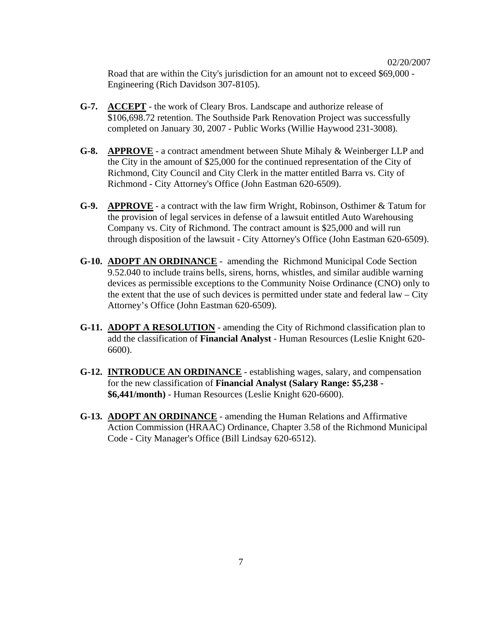Road that are within the City's jurisdiction for an amount not to exceed \$69,000 - Engineering (Rich Davidson 307-8105).

- **G-7. ACCEPT** the work of Cleary Bros. Landscape and authorize release of \$106,698.72 retention. The Southside Park Renovation Project was successfully completed on January 30, 2007 - Public Works (Willie Haywood 231-3008).
- **G-8. APPROVE** a contract amendment between Shute Mihaly & Weinberger LLP and the City in the amount of \$25,000 for the continued representation of the City of Richmond, City Council and City Clerk in the matter entitled Barra vs. City of Richmond - City Attorney's Office (John Eastman 620-6509).
- **G-9. APPROVE** a contract with the law firm Wright, Robinson, Osthimer & Tatum for the provision of legal services in defense of a lawsuit entitled Auto Warehousing Company vs. City of Richmond. The contract amount is \$25,000 and will run through disposition of the lawsuit - City Attorney's Office (John Eastman 620-6509).
- **G-10. ADOPT AN ORDINANCE** amending the Richmond Municipal Code Section 9.52.040 to include trains bells, sirens, horns, whistles, and similar audible warning devices as permissible exceptions to the Community Noise Ordinance (CNO) only to the extent that the use of such devices is permitted under state and federal  $law - City$ Attorney's Office (John Eastman 620-6509).
- **G-11. ADOPT A RESOLUTION** amending the City of Richmond classification plan to add the classification of **Financial Analyst** - Human Resources (Leslie Knight 620- 6600).
- **G-12. INTRODUCE AN ORDINANCE** establishing wages, salary, and compensation for the new classification of **Financial Analyst (Salary Range: \$5,238 - \$6,441/month)** - Human Resources (Leslie Knight 620-6600).
- **G-13. ADOPT AN ORDINANCE** amending the Human Relations and Affirmative Action Commission (HRAAC) Ordinance, Chapter 3.58 of the Richmond Municipal Code - City Manager's Office (Bill Lindsay 620-6512).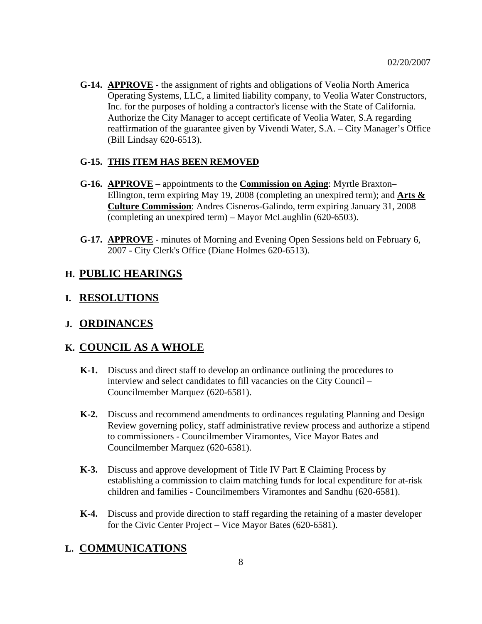**G-14. APPROVE** - the assignment of rights and obligations of Veolia North America Operating Systems, LLC, a limited liability company, to Veolia Water Constructors, Inc. for the purposes of holding a contractor's license with the State of California. Authorize the City Manager to accept certificate of Veolia Water, S.A regarding reaffirmation of the guarantee given by Vivendi Water, S.A. – City Manager's Office (Bill Lindsay 620-6513).

#### **G-15. THIS ITEM HAS BEEN REMOVED**

- **G-16. APPROVE** appointments to the **Commission on Aging**: Myrtle Braxton– Ellington, term expiring May 19, 2008 (completing an unexpired term); and **Arts & Culture Commission**: Andres Cisneros-Galindo, term expiring January 31, 2008 (completing an unexpired term) – Mayor McLaughlin (620-6503).
- **G-17. APPROVE** minutes of Morning and Evening Open Sessions held on February 6, 2007 - City Clerk's Office (Diane Holmes 620-6513).

# **H. PUBLIC HEARINGS**

### **I. RESOLUTIONS**

#### **J. ORDINANCES**

#### **K. COUNCIL AS A WHOLE**

- **K-1.** Discuss and direct staff to develop an ordinance outlining the procedures to interview and select candidates to fill vacancies on the City Council – Councilmember Marquez (620-6581).
- **K-2.** Discuss and recommend amendments to ordinances regulating Planning and Design Review governing policy, staff administrative review process and authorize a stipend to commissioners - Councilmember Viramontes, Vice Mayor Bates and Councilmember Marquez (620-6581).
- **K-3.** Discuss and approve development of Title IV Part E Claiming Process by establishing a commission to claim matching funds for local expenditure for at-risk children and families - Councilmembers Viramontes and Sandhu (620-6581).
- **K-4.** Discuss and provide direction to staff regarding the retaining of a master developer for the Civic Center Project – Vice Mayor Bates (620-6581).

#### **L. COMMUNICATIONS**